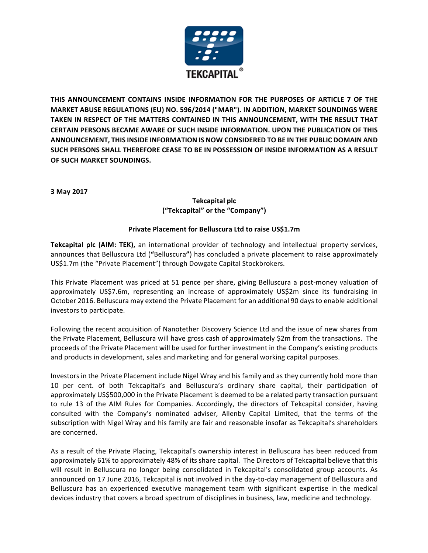

THIS ANNOUNCEMENT CONTAINS INSIDE INFORMATION FOR THE PURPOSES OF ARTICLE 7 OF THE **MARKET ABUSE REGULATIONS (EU) NO. 596/2014 ("MAR"). IN ADDITION, MARKET SOUNDINGS WERE** TAKEN IN RESPECT OF THE MATTERS CONTAINED IN THIS ANNOUNCEMENT, WITH THE RESULT THAT **CERTAIN PERSONS BECAME AWARE OF SUCH INSIDE INFORMATION. UPON THE PUBLICATION OF THIS ANNOUNCEMENT, THIS INSIDE INFORMATION IS NOW CONSIDERED TO BE IN THE PUBLIC DOMAIN AND** SUCH PERSONS SHALL THEREFORE CEASE TO BE IN POSSESSION OF INSIDE INFORMATION AS A RESULT **OF SUCH MARKET SOUNDINGS.** 

**3 May 2017**

# **Tekcapital plc ("Tekcapital" or the "Company")**

# **Private Placement for Belluscura Ltd to raise US\$1.7m**

**Tekcapital plc (AIM: TEK),** an international provider of technology and intellectual property services, announces that Belluscura Ltd ("Belluscura") has concluded a private placement to raise approximately US\$1.7m (the "Private Placement") through Dowgate Capital Stockbrokers.

This Private Placement was priced at 51 pence per share, giving Belluscura a post-money valuation of approximately US\$7.6m, representing an increase of approximately US\$2m since its fundraising in October 2016. Belluscura may extend the Private Placement for an additional 90 days to enable additional investors to participate.

Following the recent acquisition of Nanotether Discovery Science Ltd and the issue of new shares from the Private Placement, Belluscura will have gross cash of approximately \$2m from the transactions. The proceeds of the Private Placement will be used for further investment in the Company's existing products and products in development, sales and marketing and for general working capital purposes.

Investors in the Private Placement include Nigel Wray and his family and as they currently hold more than 10 per cent. of both Tekcapital's and Belluscura's ordinary share capital, their participation of approximately US\$500,000 in the Private Placement is deemed to be a related party transaction pursuant to rule 13 of the AIM Rules for Companies. Accordingly, the directors of Tekcapital consider, having consulted with the Company's nominated adviser, Allenby Capital Limited, that the terms of the subscription with Nigel Wray and his family are fair and reasonable insofar as Tekcapital's shareholders are concerned.

As a result of the Private Placing, Tekcapital's ownership interest in Belluscura has been reduced from approximately 61% to approximately 48% of its share capital. The Directors of Tekcapital believe that this will result in Belluscura no longer being consolidated in Tekcapital's consolidated group accounts. As announced on 17 June 2016, Tekcapital is not involved in the day-to-day management of Belluscura and Belluscura has an experienced executive management team with significant expertise in the medical devices industry that covers a broad spectrum of disciplines in business, law, medicine and technology.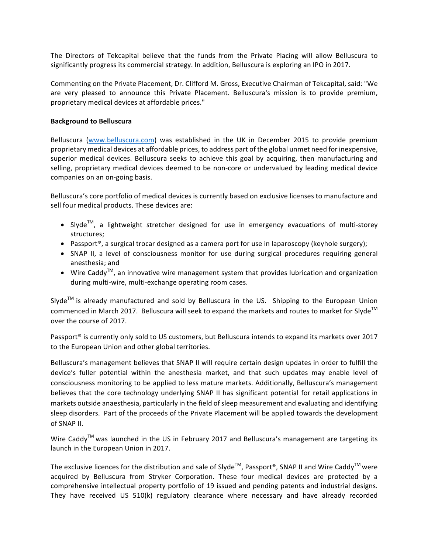The Directors of Tekcapital believe that the funds from the Private Placing will allow Belluscura to significantly progress its commercial strategy. In addition, Belluscura is exploring an IPO in 2017.

Commenting on the Private Placement, Dr. Clifford M. Gross, Executive Chairman of Tekcapital, said: "We are very pleased to announce this Private Placement. Belluscura's mission is to provide premium, proprietary medical devices at affordable prices."

## **Background to Belluscura**

Belluscura (www.belluscura.com) was established in the UK in December 2015 to provide premium proprietary medical devices at affordable prices, to address part of the global unmet need for inexpensive, superior medical devices. Belluscura seeks to achieve this goal by acquiring, then manufacturing and selling, proprietary medical devices deemed to be non-core or undervalued by leading medical device companies on an on-going basis.

Belluscura's core portfolio of medical devices is currently based on exclusive licenses to manufacture and sell four medical products. These devices are:

- Slyde<sup>TM</sup>, a lightweight stretcher designed for use in emergency evacuations of multi-storey structures;
- Passport®, a surgical trocar designed as a camera port for use in laparoscopy (keyhole surgery);
- SNAP II, a level of consciousness monitor for use during surgical procedures requiring general anesthesia; and
- Wire Caddy<sup>TM</sup>, an innovative wire management system that provides lubrication and organization during multi-wire, multi-exchange operating room cases.

Slyde<sup>TM</sup> is already manufactured and sold by Belluscura in the US. Shipping to the European Union commenced in March 2017. Belluscura will seek to expand the markets and routes to market for Slyde<sup>TM</sup> over the course of 2017.

Passport<sup>®</sup> is currently only sold to US customers, but Belluscura intends to expand its markets over 2017 to the European Union and other global territories.

Belluscura's management believes that SNAP II will require certain design updates in order to fulfill the device's fuller potential within the anesthesia market, and that such updates may enable level of consciousness monitoring to be applied to less mature markets. Additionally, Belluscura's management believes that the core technology underlying SNAP II has significant potential for retail applications in markets outside anaesthesia, particularly in the field of sleep measurement and evaluating and identifying sleep disorders. Part of the proceeds of the Private Placement will be applied towards the development of SNAP II.

Wire Caddy<sup>TM</sup> was launched in the US in February 2017 and Belluscura's management are targeting its launch in the European Union in 2017.

The exclusive licences for the distribution and sale of Slyde<sup>TM</sup>, Passport®, SNAP II and Wire Caddy<sup>TM</sup> were acquired by Belluscura from Stryker Corporation. These four medical devices are protected by a comprehensive intellectual property portfolio of 19 issued and pending patents and industrial designs. They have received US  $510(k)$  regulatory clearance where necessary and have already recorded